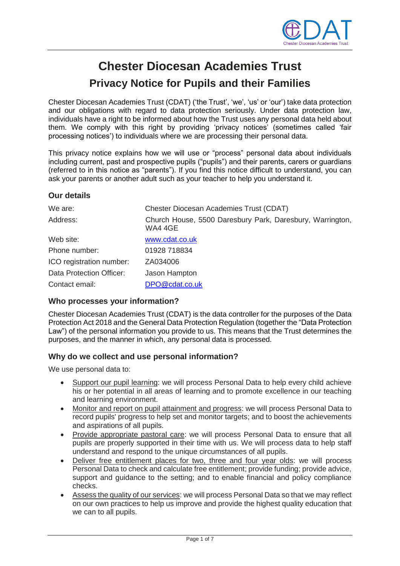

# **Chester Diocesan Academies Trust Privacy Notice for Pupils and their Families**

Chester Diocesan Academies Trust (CDAT) ('the Trust', 'we', 'us' or 'our') take data protection and our obligations with regard to data protection seriously. Under data protection law, individuals have a right to be informed about how the Trust uses any personal data held about them. We comply with this right by providing 'privacy notices' (sometimes called 'fair processing notices') to individuals where we are processing their personal data.

This privacy notice explains how we will use or "process" personal data about individuals including current, past and prospective pupils ("pupils") and their parents, carers or guardians (referred to in this notice as "parents"). If you find this notice difficult to understand, you can ask your parents or another adult such as your teacher to help you understand it.

#### **Our details**

| We are:                  | <b>Chester Diocesan Academies Trust (CDAT)</b>                       |
|--------------------------|----------------------------------------------------------------------|
| Address:                 | Church House, 5500 Daresbury Park, Daresbury, Warrington,<br>WA4 4GE |
| Web site:                | www.cdat.co.uk                                                       |
| Phone number:            | 01928 718834                                                         |
| ICO registration number: | ZA034006                                                             |
| Data Protection Officer: | Jason Hampton                                                        |
| Contact email:           | DPO@cdat.co.uk                                                       |

#### **Who processes your information?**

Chester Diocesan Academies Trust (CDAT) is the data controller for the purposes of the Data Protection Act 2018 and the General Data Protection Regulation (together the "Data Protection Law") of the personal information you provide to us. This means that the Trust determines the purposes, and the manner in which, any personal data is processed.

#### **Why do we collect and use personal information?**

We use personal data to:

- Support our pupil learning: we will process Personal Data to help every child achieve his or her potential in all areas of learning and to promote excellence in our teaching and learning environment.
- Monitor and report on pupil attainment and progress: we will process Personal Data to record pupils' progress to help set and monitor targets; and to boost the achievements and aspirations of all pupils.
- Provide appropriate pastoral care: we will process Personal Data to ensure that all pupils are properly supported in their time with us. We will process data to help staff understand and respond to the unique circumstances of all pupils.
- Deliver free entitlement places for two, three and four year olds: we will process Personal Data to check and calculate free entitlement; provide funding; provide advice, support and guidance to the setting; and to enable financial and policy compliance checks.
- Assess the quality of our services: we will process Personal Data so that we may reflect on our own practices to help us improve and provide the highest quality education that we can to all pupils.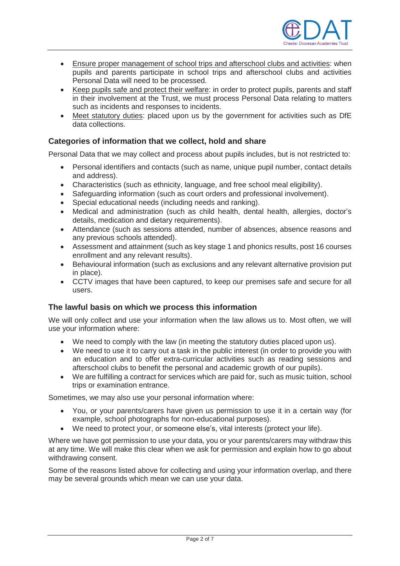

- Ensure proper management of school trips and afterschool clubs and activities: when pupils and parents participate in school trips and afterschool clubs and activities Personal Data will need to be processed.
- Keep pupils safe and protect their welfare: in order to protect pupils, parents and staff in their involvement at the Trust, we must process Personal Data relating to matters such as incidents and responses to incidents.
- Meet statutory duties: placed upon us by the government for activities such as DfE data collections.

#### **Categories of information that we collect, hold and share**

Personal Data that we may collect and process about pupils includes, but is not restricted to:

- Personal identifiers and contacts (such as name, unique pupil number, contact details and address).
- Characteristics (such as ethnicity, language, and free school meal eligibility).
- Safeguarding information (such as court orders and professional involvement).
- Special educational needs (including needs and ranking).
- Medical and administration (such as child health, dental health, allergies, doctor's details, medication and dietary requirements).
- Attendance (such as sessions attended, number of absences, absence reasons and any previous schools attended).
- Assessment and attainment (such as key stage 1 and phonics results, post 16 courses enrollment and any relevant results).
- Behavioural information (such as exclusions and any relevant alternative provision put in place).
- CCTV images that have been captured, to keep our premises safe and secure for all users.

#### **The lawful basis on which we process this information**

We will only collect and use your information when the law allows us to. Most often, we will use your information where:

- We need to comply with the law (in meeting the statutory duties placed upon us).
- We need to use it to carry out a task in the public interest (in order to provide you with an education and to offer extra-curricular activities such as reading sessions and afterschool clubs to benefit the personal and academic growth of our pupils).
- We are fulfilling a contract for services which are paid for, such as music tuition, school trips or examination entrance.

Sometimes, we may also use your personal information where:

- You, or your parents/carers have given us permission to use it in a certain way (for example, school photographs for non-educational purposes).
- We need to protect your, or someone else's, vital interests (protect your life).

Where we have got permission to use your data, you or your parents/carers may withdraw this at any time. We will make this clear when we ask for permission and explain how to go about withdrawing consent.

Some of the reasons listed above for collecting and using your information overlap, and there may be several grounds which mean we can use your data.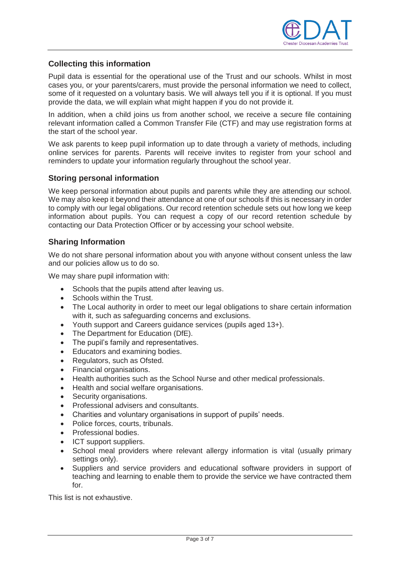

#### **Collecting this information**

Pupil data is essential for the operational use of the Trust and our schools. Whilst in most cases you, or your parents/carers, must provide the personal information we need to collect, some of it requested on a voluntary basis. We will always tell you if it is optional. If you must provide the data, we will explain what might happen if you do not provide it.

In addition, when a child joins us from another school, we receive a secure file containing relevant information called a Common Transfer File (CTF) and may use registration forms at the start of the school year.

We ask parents to keep pupil information up to date through a variety of methods, including online services for parents. Parents will receive invites to register from your school and reminders to update your information regularly throughout the school year.

#### **Storing personal information**

We keep personal information about pupils and parents while they are attending our school. We may also keep it beyond their attendance at one of our schools if this is necessary in order to comply with our legal obligations. Our record retention schedule sets out how long we keep information about pupils. You can request a copy of our record retention schedule by contacting our Data Protection Officer or by accessing your school website.

#### **Sharing Information**

We do not share personal information about you with anyone without consent unless the law and our policies allow us to do so.

We may share pupil information with:

- Schools that the pupils attend after leaving us.
- Schools within the Trust.
- The Local authority in order to meet our legal obligations to share certain information with it, such as safeguarding concerns and exclusions.
- Youth support and Careers guidance services (pupils aged 13+).
- The Department for Education (DfE).
- The pupil's family and representatives.
- Educators and examining bodies.
- Regulators, such as Ofsted.
- Financial organisations.
- Health authorities such as the School Nurse and other medical professionals.
- Health and social welfare organisations.
- Security organisations.
- Professional advisers and consultants.
- Charities and voluntary organisations in support of pupils' needs.
- Police forces, courts, tribunals.
- Professional bodies.
- ICT support suppliers.
- School meal providers where relevant allergy information is vital (usually primary settings only).
- Suppliers and service providers and educational software providers in support of teaching and learning to enable them to provide the service we have contracted them for.

This list is not exhaustive.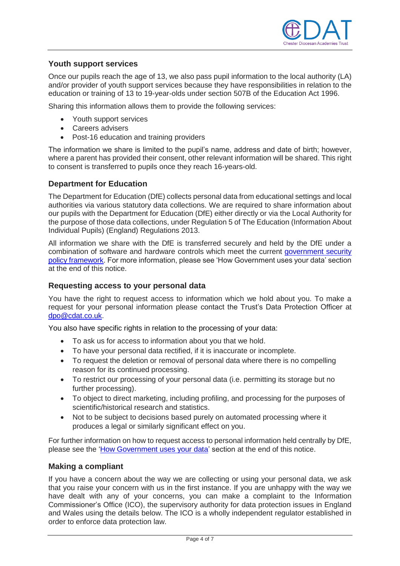

#### **Youth support services**

Once our pupils reach the age of 13, we also pass pupil information to the local authority (LA) and/or provider of youth support services because they have responsibilities in relation to the education or training of 13 to 19-year-olds under section 507B of the Education Act 1996.

Sharing this information allows them to provide the following services:

- Youth support services
- Careers advisers
- Post-16 education and training providers

The information we share is limited to the pupil's name, address and date of birth; however, where a parent has provided their consent, other relevant information will be shared. This right to consent is transferred to pupils once they reach 16-years-old.

#### **Department for Education**

The Department for Education (DfE) collects personal data from educational settings and local authorities via various statutory data collections. We are required to share information about our pupils with the Department for Education (DfE) either directly or via the Local Authority for the purpose of those data collections, under Regulation 5 of The Education (Information About Individual Pupils) (England) Regulations 2013.

All information we share with the DfE is transferred securely and held by the DfE under a combination of software and hardware controls which meet the current [government security](https://www.gov.uk/government/publications/security-policy-framework)  [policy framework.](https://www.gov.uk/government/publications/security-policy-framework) For more information, please see 'How Government uses your data' section at the end of this notice.

#### **Requesting access to your personal data**

You have the right to request access to information which we hold about you. To make a request for your personal information please contact the Trust's Data Protection Officer at [dpo@cdat.co.uk.](mailto:dpo@cdat.co.uk)

You also have specific rights in relation to the processing of your data:

- To ask us for access to information about you that we hold.
- To have your personal data rectified, if it is inaccurate or incomplete.
- To request the deletion or removal of personal data where there is no compelling reason for its continued processing.
- To restrict our processing of your personal data (i.e. permitting its storage but no further processing).
- To object to direct marketing, including profiling, and processing for the purposes of scientific/historical research and statistics.
- Not to be subject to decisions based purely on automated processing where it produces a legal or similarly significant effect on you.

For further information on how to request access to personal information held centrally by DfE, please see the ['How Government uses your data'](#page-5-0) section at the end of this notice.

#### **Making a compliant**

If you have a concern about the way we are collecting or using your personal data, we ask that you raise your concern with us in the first instance. If you are unhappy with the way we have dealt with any of your concerns, you can make a complaint to the Information Commissioner's Office (ICO), the supervisory authority for data protection issues in England and Wales using the details below. The ICO is a wholly independent regulator established in order to enforce data protection law.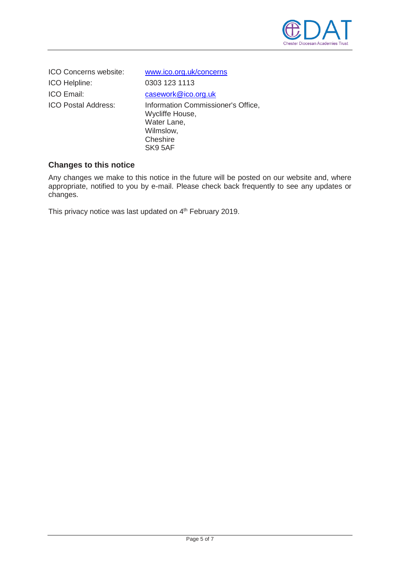

ICO Concerns website: [www.ico.org.uk/concerns](http://www.ico.org.uk/concerns) ICO Helpline: 0303 123 1113 ICO Email: [casework@ico.org.uk](mailto:casework@ico.org.uk)

ICO Postal Address: Information Commissioner's Office, Wycliffe House, Water Lane, Wilmslow, **Cheshire** SK9 5AF

#### **Changes to this notice**

Any changes we make to this notice in the future will be posted on our website and, where appropriate, notified to you by e-mail. Please check back frequently to see any updates or changes.

This privacy notice was last updated on 4<sup>th</sup> February 2019.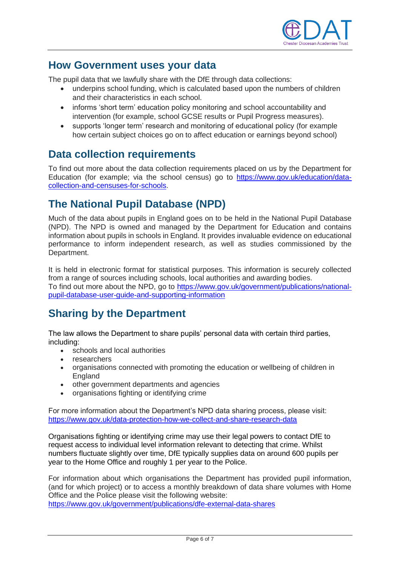

### <span id="page-5-0"></span>**How Government uses your data**

The pupil data that we lawfully share with the DfE through data collections:

- underpins school funding, which is calculated based upon the numbers of children and their characteristics in each school.
- informs 'short term' education policy monitoring and school accountability and intervention (for example, school GCSE results or Pupil Progress measures).
- supports 'longer term' research and monitoring of educational policy (for example how certain subject choices go on to affect education or earnings beyond school)

### **Data collection requirements**

To find out more about the data collection requirements placed on us by the Department for Education (for example; via the school census) go to [https://www.gov.uk/education/data](https://www.gov.uk/education/data-collection-and-censuses-for-schools)[collection-and-censuses-for-schools.](https://www.gov.uk/education/data-collection-and-censuses-for-schools)

# **The National Pupil Database (NPD)**

Much of the data about pupils in England goes on to be held in the National Pupil Database (NPD). The NPD is owned and managed by the Department for Education and contains information about pupils in schools in England. It provides invaluable evidence on educational performance to inform independent research, as well as studies commissioned by the Department.

It is held in electronic format for statistical purposes. This information is securely collected from a range of sources including schools, local authorities and awarding bodies. To find out more about the NPD, go to [https://www.gov.uk/government/publications/national](https://www.gov.uk/government/publications/national-pupil-database-user-guide-and-supporting-information)[pupil-database-user-guide-and-supporting-information](https://www.gov.uk/government/publications/national-pupil-database-user-guide-and-supporting-information)

# **Sharing by the Department**

The law allows the Department to share pupils' personal data with certain third parties, including:

- schools and local authorities
- researchers
- organisations connected with promoting the education or wellbeing of children in England
- other government departments and agencies
- organisations fighting or identifying crime

For more information about the Department's NPD data sharing process, please visit: <https://www.gov.uk/data-protection-how-we-collect-and-share-research-data>

Organisations fighting or identifying crime may use their legal powers to contact DfE to request access to individual level information relevant to detecting that crime. Whilst numbers fluctuate slightly over time, DfE typically supplies data on around 600 pupils per year to the Home Office and roughly 1 per year to the Police.

For information about which organisations the Department has provided pupil information, (and for which project) or to access a monthly breakdown of data share volumes with Home Office and the Police please visit the following website:

<https://www.gov.uk/government/publications/dfe-external-data-shares>